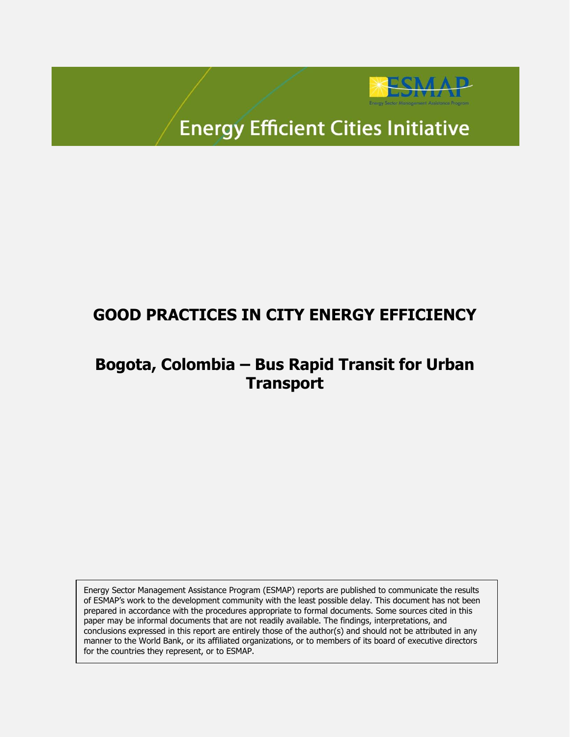

# **Energy Efficient Cities Initiative**

## **GOOD PRACTICES IN CITY ENERGY EFFICIENCY**

## **Bogota, Colombia – Bus Rapid Transit for Urban Transport**

Energy Sector Management Assistance Program (ESMAP) reports are published to communicate the results of ESMAP's work to the development community with the least possible delay. This document has not been prepared in accordance with the procedures appropriate to formal documents. Some sources cited in this paper may be informal documents that are not readily available. The findings, interpretations, and conclusions expressed in this report are entirely those of the author(s) and should not be attributed in any manner to the World Bank, or its affiliated organizations, or to members of its board of executive directors for the countries they represent, or to ESMAP.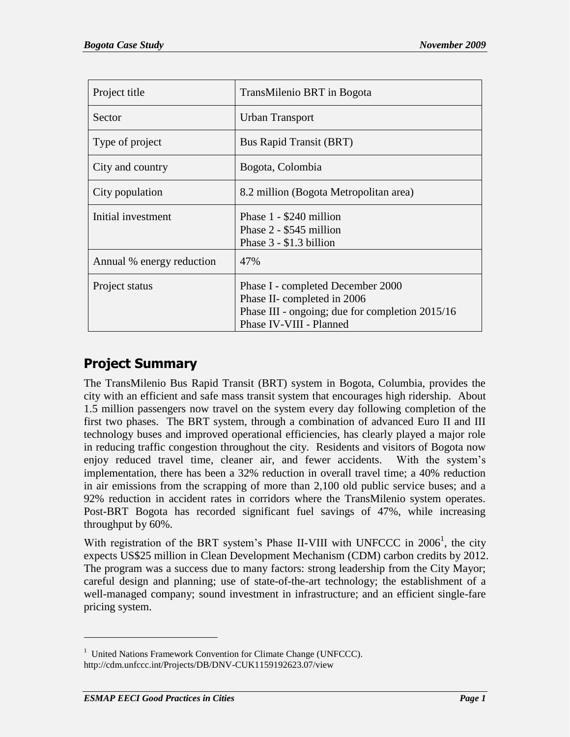| Project title             | TransMilenio BRT in Bogota                                                                                                                     |
|---------------------------|------------------------------------------------------------------------------------------------------------------------------------------------|
| Sector                    | Urban Transport                                                                                                                                |
| Type of project           | <b>Bus Rapid Transit (BRT)</b>                                                                                                                 |
| City and country          | Bogota, Colombia                                                                                                                               |
| City population           | 8.2 million (Bogota Metropolitan area)                                                                                                         |
| Initial investment        | Phase 1 - \$240 million<br>Phase 2 - \$545 million<br>Phase $3 - $1.3$ billion                                                                 |
| Annual % energy reduction | 47%                                                                                                                                            |
| Project status            | Phase I - completed December 2000<br>Phase II- completed in 2006<br>Phase III - ongoing; due for completion 2015/16<br>Phase IV-VIII - Planned |

### **Project Summary**

The TransMilenio Bus Rapid Transit (BRT) system in Bogota, Columbia, provides the city with an efficient and safe mass transit system that encourages high ridership. About 1.5 million passengers now travel on the system every day following completion of the first two phases. The BRT system, through a combination of advanced Euro II and III technology buses and improved operational efficiencies, has clearly played a major role in reducing traffic congestion throughout the city. Residents and visitors of Bogota now enjoy reduced travel time, cleaner air, and fewer accidents. With the system"s implementation, there has been a 32% reduction in overall travel time; a 40% reduction in air emissions from the scrapping of more than 2,100 old public service buses; and a 92% reduction in accident rates in corridors where the TransMilenio system operates. Post-BRT Bogota has recorded significant fuel savings of 47%, while increasing throughput by 60%.

With registration of the BRT system's Phase II-VIII with UNFCCC in  $2006<sup>1</sup>$ , the city expects US\$25 million in Clean Development Mechanism (CDM) carbon credits by 2012. The program was a success due to many factors: strong leadership from the City Mayor; careful design and planning; use of state-of-the-art technology; the establishment of a well-managed company; sound investment in infrastructure; and an efficient single-fare pricing system.

<sup>&</sup>lt;sup>1</sup> United Nations Framework Convention for Climate Change (UNFCCC). <http://cdm.unfccc.int/Projects/DB/DNV-CUK1159192623.07/view>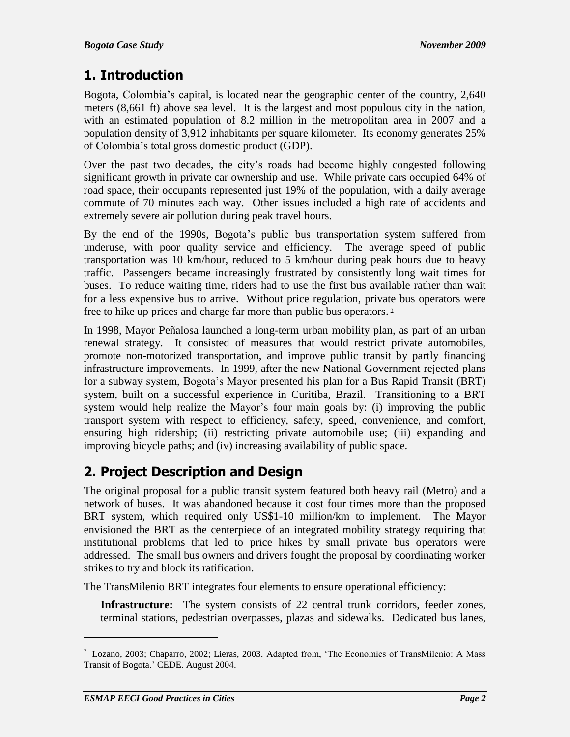### **1. Introduction**

Bogota, Colombia"s capital, is located near the geographic center of the country, 2,640 meters (8,661 ft) above sea level. It is the largest and most populous city in the nation, with an estimated population of 8.2 million in the metropolitan area in 2007 and a population density of 3,912 inhabitants per square kilometer. Its economy generates 25% of Colombia"s total gross domestic product (GDP).

Over the past two decades, the city"s roads had become highly congested following significant growth in private car ownership and use. While private cars occupied 64% of road space, their occupants represented just 19% of the population, with a daily average commute of 70 minutes each way. Other issues included a high rate of accidents and extremely severe air pollution during peak travel hours.

By the end of the 1990s, Bogota"s public bus transportation system suffered from underuse, with poor quality service and efficiency. The average speed of public transportation was 10 km/hour, reduced to 5 km/hour during peak hours due to heavy traffic. Passengers became increasingly frustrated by consistently long wait times for buses. To reduce waiting time, riders had to use the first bus available rather than wait for a less expensive bus to arrive. Without price regulation, private bus operators were free to hike up prices and charge far more than public bus operators. 2

In 1998, Mayor Peñalosa launched a long-term urban mobility plan, as part of an urban renewal strategy. It consisted of measures that would restrict private automobiles, promote non-motorized transportation, and improve public transit by partly financing infrastructure improvements. In 1999, after the new National Government rejected plans for a subway system, Bogota"s Mayor presented his plan for a Bus Rapid Transit (BRT) system, built on a successful experience in Curitiba, Brazil. Transitioning to a BRT system would help realize the Mayor's four main goals by: (i) improving the public transport system with respect to efficiency, safety, speed, convenience, and comfort, ensuring high ridership; (ii) restricting private automobile use; (iii) expanding and improving bicycle paths; and (iv) increasing availability of public space.

### **2. Project Description and Design**

The original proposal for a public transit system featured both heavy rail (Metro) and a network of buses. It was abandoned because it cost four times more than the proposed BRT system, which required only US\$1-10 million/km to implement. The Mayor envisioned the BRT as the centerpiece of an integrated mobility strategy requiring that institutional problems that led to price hikes by small private bus operators were addressed. The small bus owners and drivers fought the proposal by coordinating worker strikes to try and block its ratification.

The TransMilenio BRT integrates four elements to ensure operational efficiency:

**Infrastructure:** The system consists of 22 central trunk corridors, feeder zones, terminal stations, pedestrian overpasses, plazas and sidewalks. Dedicated bus lanes,

 $2$  Lozano, 2003; Chaparro, 2002; Lieras, 2003. Adapted from, 'The Economics of TransMilenio: A Mass Transit of Bogota." CEDE. August 2004.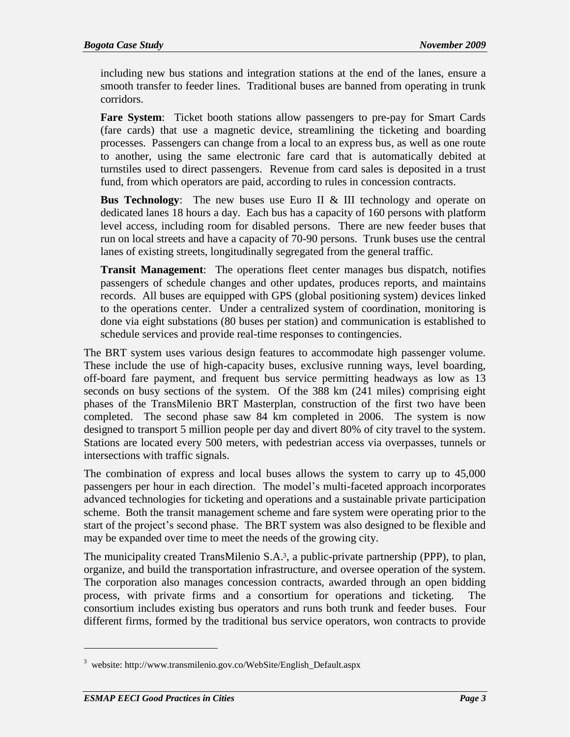including new bus stations and integration stations at the end of the lanes, ensure a smooth transfer to feeder lines. Traditional buses are banned from operating in trunk corridors.

**Fare System**: Ticket booth stations allow passengers to pre-pay for Smart Cards (fare cards) that use a magnetic device, streamlining the ticketing and boarding processes. Passengers can change from a local to an express bus, as well as one route to another, using the same electronic fare card that is automatically debited at turnstiles used to direct passengers. Revenue from card sales is deposited in a trust fund, from which operators are paid, according to rules in concession contracts.

**Bus Technology:** The new buses use Euro II & III technology and operate on dedicated lanes 18 hours a day. Each bus has a capacity of 160 persons with platform level access, including room for disabled persons. There are new feeder buses that run on local streets and have a capacity of 70-90 persons. Trunk buses use the central lanes of existing streets, longitudinally segregated from the general traffic.

**Transit Management**: The operations fleet center manages bus dispatch, notifies passengers of schedule changes and other updates, produces reports, and maintains records. All buses are equipped with GPS (global positioning system) devices linked to the operations center. Under a centralized system of coordination, monitoring is done via eight substations (80 buses per station) and communication is established to schedule services and provide real-time responses to contingencies.

The BRT system uses various design features to accommodate high passenger volume. These include the use of high-capacity buses, exclusive running ways, level boarding, off-board fare payment, and frequent bus service permitting headways as low as 13 seconds on busy sections of the system. Of the 388 km (241 miles) comprising eight phases of the TransMilenio BRT Masterplan, construction of the first two have been completed. The second phase saw 84 km completed in 2006. The system is now designed to transport 5 million people per day and divert 80% of city travel to the system. Stations are located every 500 meters, with pedestrian access via overpasses, tunnels or intersections with traffic signals.

The combination of express and local buses allows the system to carry up to 45,000 passengers per hour in each direction. The model"s multi-faceted approach incorporates advanced technologies for ticketing and operations and a sustainable private participation scheme. Both the transit management scheme and fare system were operating prior to the start of the project's second phase. The BRT system was also designed to be flexible and may be expanded over time to meet the needs of the growing city.

The municipality created TransMilenio S.A.3, a public-private partnership (PPP), to plan, organize, and build the transportation infrastructure, and oversee operation of the system. The corporation also manages concession contracts, awarded through an open bidding process, with private firms and a consortium for operations and ticketing. The consortium includes existing bus operators and runs both trunk and feeder buses. Four different firms, formed by the traditional bus service operators, won contracts to provide

<sup>3</sup> website: http://www.transmilenio.gov.co/WebSite/English\_Default.aspx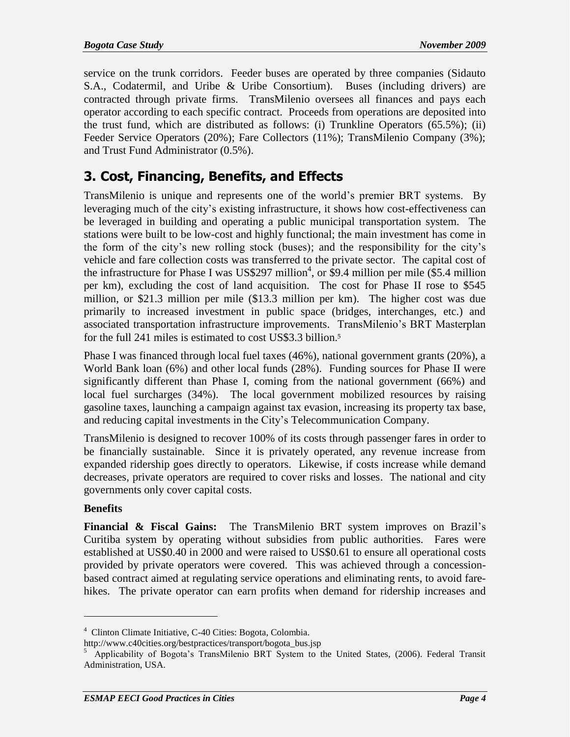service on the trunk corridors. Feeder buses are operated by three companies (Sidauto S.A., Codatermil, and Uribe & Uribe Consortium). Buses (including drivers) are contracted through private firms. TransMilenio oversees all finances and pays each operator according to each specific contract. Proceeds from operations are deposited into the trust fund, which are distributed as follows: (i) Trunkline Operators (65.5%); (ii) Feeder Service Operators (20%); Fare Collectors (11%); TransMilenio Company (3%); and Trust Fund Administrator (0.5%).

### **3. Cost, Financing, Benefits, and Effects**

TransMilenio is unique and represents one of the world"s premier BRT systems. By leveraging much of the city"s existing infrastructure, it shows how cost-effectiveness can be leveraged in building and operating a public municipal transportation system. The stations were built to be low-cost and highly functional; the main investment has come in the form of the city"s new rolling stock (buses); and the responsibility for the city"s vehicle and fare collection costs was transferred to the private sector. The capital cost of the infrastructure for Phase I was US\$297 million<sup>4</sup>, or \$9.4 million per mile (\$5.4 million per km), excluding the cost of land acquisition. The cost for Phase II rose to \$545 million, or \$21.3 million per mile (\$13.3 million per km). The higher cost was due primarily to increased investment in public space (bridges, interchanges, etc.) and associated transportation infrastructure improvements. TransMilenio"s BRT Masterplan for the full 241 miles is estimated to cost US\$3.3 billion.<sup>5</sup>

Phase I was financed through local fuel taxes (46%), national government grants (20%), a World Bank loan (6%) and other local funds (28%). Funding sources for Phase II were significantly different than Phase I, coming from the national government (66%) and local fuel surcharges (34%). The local government mobilized resources by raising gasoline taxes, launching a campaign against tax evasion, increasing its property tax base, and reducing capital investments in the City"s Telecommunication Company.

TransMilenio is designed to recover 100% of its costs through passenger fares in order to be financially sustainable. Since it is privately operated, any revenue increase from expanded ridership goes directly to operators. Likewise, if costs increase while demand decreases, private operators are required to cover risks and losses. The national and city governments only cover capital costs.

#### **Benefits**

 $\overline{a}$ 

**Financial & Fiscal Gains:** The TransMilenio BRT system improves on Brazil"s Curitiba system by operating without subsidies from public authorities. Fares were established at US\$0.40 in 2000 and were raised to US\$0.61 to ensure all operational costs provided by private operators were covered. This was achieved through a concessionbased contract aimed at regulating service operations and eliminating rents, to avoid farehikes. The private operator can earn profits when demand for ridership increases and

<sup>4</sup> Clinton Climate Initiative, C-40 Cities: Bogota, Colombia.

[http://www.c40cities.org/bestpractices/transport/bogota\\_bus.jsp](http://www.c40cities.org/bestpractices/transport/bogota_bus.jsp)

<sup>&</sup>lt;sup>5</sup> Applicability of Bogota's TransMilenio BRT System to the United States, (2006). Federal Transit Administration, USA.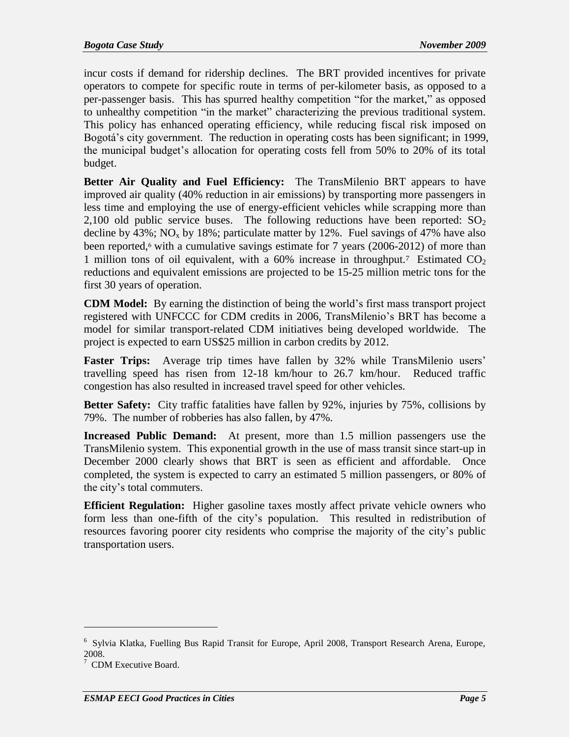incur costs if demand for ridership declines. The BRT provided incentives for private operators to compete for specific route in terms of per-kilometer basis, as opposed to a per-passenger basis. This has spurred healthy competition "for the market," as opposed to unhealthy competition "in the market" characterizing the previous traditional system. This policy has enhanced operating efficiency, while reducing fiscal risk imposed on Bogotá's city government. The reduction in operating costs has been significant; in 1999, the municipal budget"s allocation for operating costs fell from 50% to 20% of its total budget.

**Better Air Quality and Fuel Efficiency:** The TransMilenio BRT appears to have improved air quality (40% reduction in air emissions) by transporting more passengers in less time and employing the use of energy-efficient vehicles while scrapping more than 2,100 old public service buses. The following reductions have been reported:  $SO<sub>2</sub>$ decline by  $43\%$ ; NO<sub>x</sub> by 18%; particulate matter by 12%. Fuel savings of 47% have also been reported,<sup>6</sup> with a cumulative savings estimate for 7 years (2006-2012) of more than 1 million tons of oil equivalent, with a  $60\%$  increase in throughput.<sup>7</sup> Estimated  $CO<sub>2</sub>$ reductions and equivalent emissions are projected to be 15-25 million metric tons for the first 30 years of operation.

**CDM Model:** By earning the distinction of being the world"s first mass transport project registered with UNFCCC for CDM credits in 2006, TransMilenio"s BRT has become a model for similar transport-related CDM initiatives being developed worldwide. The project is expected to earn US\$25 million in carbon credits by 2012.

**Faster Trips:** Average trip times have fallen by 32% while TransMilenio users' travelling speed has risen from 12-18 km/hour to 26.7 km/hour. Reduced traffic congestion has also resulted in increased travel speed for other vehicles.

**Better Safety:** City traffic fatalities have fallen by 92%, injuries by 75%, collisions by 79%. The number of robberies has also fallen, by 47%.

**Increased Public Demand:** At present, more than 1.5 million passengers use the TransMilenio system. This exponential growth in the use of mass transit since start-up in December 2000 clearly shows that BRT is seen as efficient and affordable. Once completed, the system is expected to carry an estimated 5 million passengers, or 80% of the city"s total commuters.

**Efficient Regulation:** Higher gasoline taxes mostly affect private vehicle owners who form less than one-fifth of the city's population. This resulted in redistribution of resources favoring poorer city residents who comprise the majority of the city"s public transportation users.

<sup>&</sup>lt;sup>6</sup> Sylvia Klatka, Fuelling Bus Rapid Transit for Europe, April 2008, Transport Research Arena, Europe, 2008.

<sup>&</sup>lt;sup>7</sup> CDM Executive Board.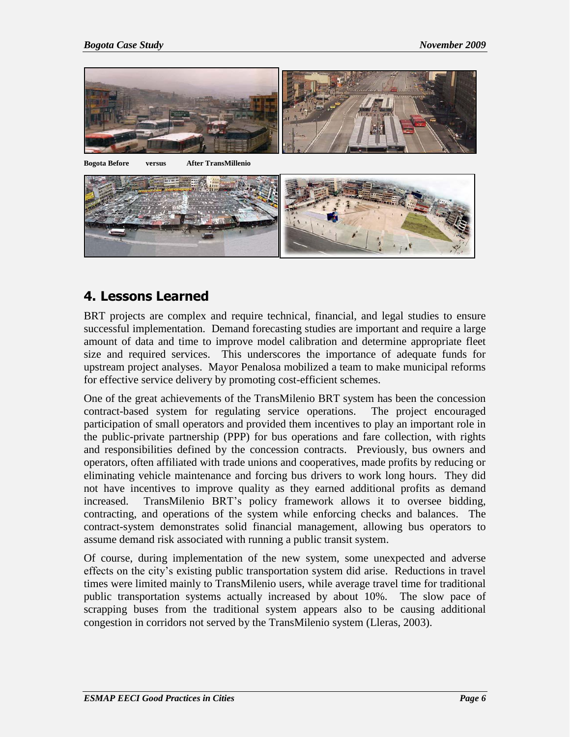

#### **4. Lessons Learned**

BRT projects are complex and require technical, financial, and legal studies to ensure successful implementation. Demand forecasting studies are important and require a large amount of data and time to improve model calibration and determine appropriate fleet size and required services. This underscores the importance of adequate funds for upstream project analyses. Mayor Penalosa mobilized a team to make municipal reforms for effective service delivery by promoting cost-efficient schemes.

One of the great achievements of the TransMilenio BRT system has been the concession contract-based system for regulating service operations. The project encouraged participation of small operators and provided them incentives to play an important role in the public-private partnership (PPP) for bus operations and fare collection, with rights and responsibilities defined by the concession contracts. Previously, bus owners and operators, often affiliated with trade unions and cooperatives, made profits by reducing or eliminating vehicle maintenance and forcing bus drivers to work long hours. They did not have incentives to improve quality as they earned additional profits as demand increased. TransMilenio BRT"s policy framework allows it to oversee bidding, contracting, and operations of the system while enforcing checks and balances. The contract-system demonstrates solid financial management, allowing bus operators to assume demand risk associated with running a public transit system.

Of course, during implementation of the new system, some unexpected and adverse effects on the city"s existing public transportation system did arise. Reductions in travel times were limited mainly to TransMilenio users, while average travel time for traditional public transportation systems actually increased by about 10%. The slow pace of scrapping buses from the traditional system appears also to be causing additional congestion in corridors not served by the TransMilenio system (Lleras, 2003).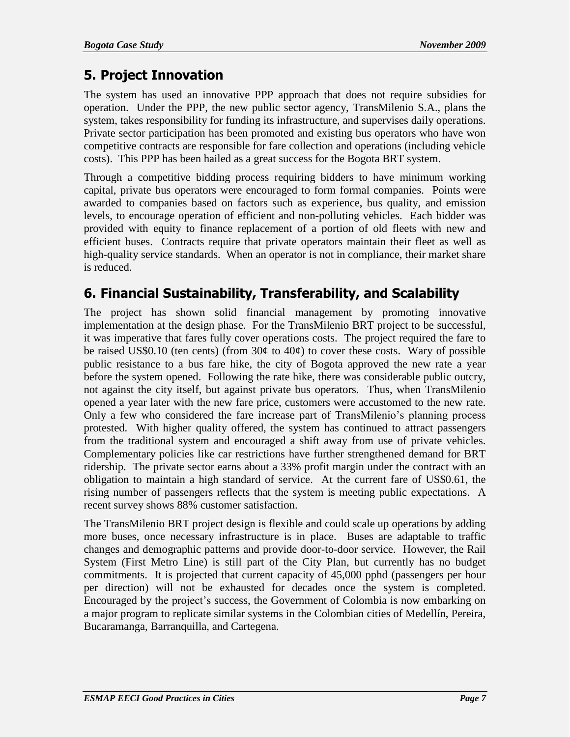### **5. Project Innovation**

The system has used an innovative PPP approach that does not require subsidies for operation. Under the PPP, the new public sector agency, TransMilenio S.A., plans the system, takes responsibility for funding its infrastructure, and supervises daily operations. Private sector participation has been promoted and existing bus operators who have won competitive contracts are responsible for fare collection and operations (including vehicle costs). This PPP has been hailed as a great success for the Bogota BRT system.

Through a competitive bidding process requiring bidders to have minimum working capital, private bus operators were encouraged to form formal companies. Points were awarded to companies based on factors such as experience, bus quality, and emission levels, to encourage operation of efficient and non-polluting vehicles. Each bidder was provided with equity to finance replacement of a portion of old fleets with new and efficient buses. Contracts require that private operators maintain their fleet as well as high-quality service standards. When an operator is not in compliance, their market share is reduced.

## **6. Financial Sustainability, Transferability, and Scalability**

The project has shown solid financial management by promoting innovative implementation at the design phase. For the TransMilenio BRT project to be successful, it was imperative that fares fully cover operations costs. The project required the fare to be raised US\$0.10 (ten cents) (from  $30¢$  to  $40¢$ ) to cover these costs. Wary of possible public resistance to a bus fare hike, the city of Bogota approved the new rate a year before the system opened. Following the rate hike, there was considerable public outcry, not against the city itself, but against private bus operators. Thus, when TransMilenio opened a year later with the new fare price, customers were accustomed to the new rate. Only a few who considered the fare increase part of TransMilenio"s planning process protested. With higher quality offered, the system has continued to attract passengers from the traditional system and encouraged a shift away from use of private vehicles. Complementary policies like car restrictions have further strengthened demand for BRT ridership. The private sector earns about a 33% profit margin under the contract with an obligation to maintain a high standard of service. At the current fare of US\$0.61, the rising number of passengers reflects that the system is meeting public expectations. A recent survey shows 88% customer satisfaction.

The TransMilenio BRT project design is flexible and could scale up operations by adding more buses, once necessary infrastructure is in place. Buses are adaptable to traffic changes and demographic patterns and provide door-to-door service. However, the Rail System (First Metro Line) is still part of the City Plan, but currently has no budget commitments. It is projected that current capacity of 45,000 pphd (passengers per hour per direction) will not be exhausted for decades once the system is completed. Encouraged by the project"s success, the Government of Colombia is now embarking on a major program to replicate similar systems in the Colombian cities of Medellín, Pereira, Bucaramanga, Barranquilla, and Cartegena.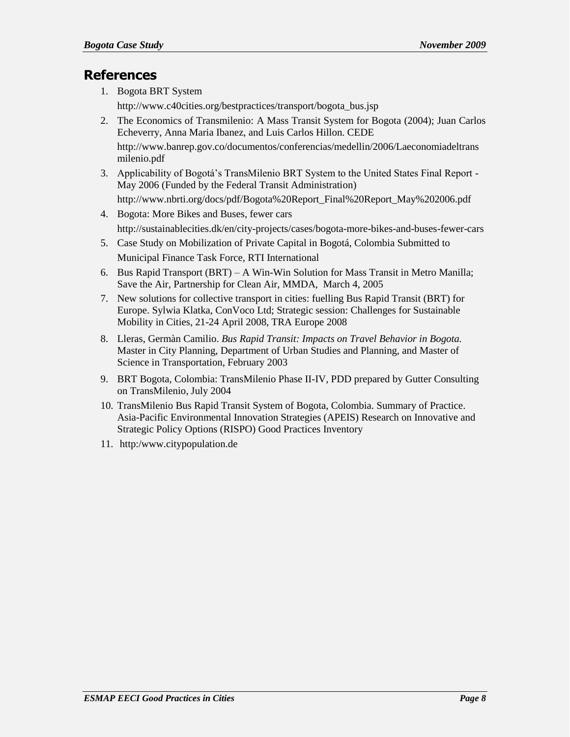#### **References**

1. Bogota BRT System

[http://www.c40cities.org/bestpractices/transport/bogota\\_bus.jsp](http://www.c40cities.org/bestpractices/transport/bogota_bus.jsp)

2. The Economics of Transmilenio: A Mass Transit System for Bogota (2004); Juan Carlos Echeverry, Anna Maria Ibanez, and Luis Carlos Hillon. CEDE [http://www.banrep.gov.co/documentos/conferencias/medellin/2006/Laeconomiadeltrans](http://www.banrep.gov.co/documentos/conferencias/medellin/2006/Laeconomiadeltransmilenio.pdf)

[milenio.pdf](http://www.banrep.gov.co/documentos/conferencias/medellin/2006/Laeconomiadeltransmilenio.pdf)

3. Applicability of Bogotá"s TransMilenio BRT System to the United States Final Report - May 2006 (Funded by the Federal Transit Administration)

[http://www.nbrti.org/docs/pdf/Bogota%20Report\\_Final%20Report\\_May%202006.pdf](http://www.nbrti.org/docs/pdf/Bogota%20Report_Final%20Report_May%202006.pdf)

- 4. Bogota: More Bikes and Buses, fewer cars <http://sustainablecities.dk/en/city-projects/cases/bogota-more-bikes-and-buses-fewer-cars>
- 5. Case Study on Mobilization of Private Capital in Bogotá, Colombia Submitted to Municipal Finance Task Force, RTI International
- 6. Bus Rapid Transport (BRT) A Win-Win Solution for Mass Transit in Metro Manilla; Save the Air, Partnership for Clean Air, MMDA, March 4, 2005
- 7. New solutions for collective transport in cities: fuelling Bus Rapid Transit (BRT) for Europe. Sylwia Klatka, ConVoco Ltd; Strategic session: Challenges for Sustainable Mobility in Cities, 21-24 April 2008, TRA Europe 2008
- 8. Lleras, Germàn Camilio. *Bus Rapid Transit: Impacts on Travel Behavior in Bogota.* Master in City Planning, Department of Urban Studies and Planning, and Master of Science in Transportation, February 2003
- 9. BRT Bogota, Colombia: TransMilenio Phase II-IV, PDD prepared by Gutter Consulting on TransMilenio, July 2004
- 10. TransMilenio Bus Rapid Transit System of Bogota, Colombia. Summary of Practice. Asia-Pacific Environmental Innovation Strategies (APEIS) Research on Innovative and Strategic Policy Options (RISPO) Good Practices Inventory
- 11. http:/www.citypopulation.de